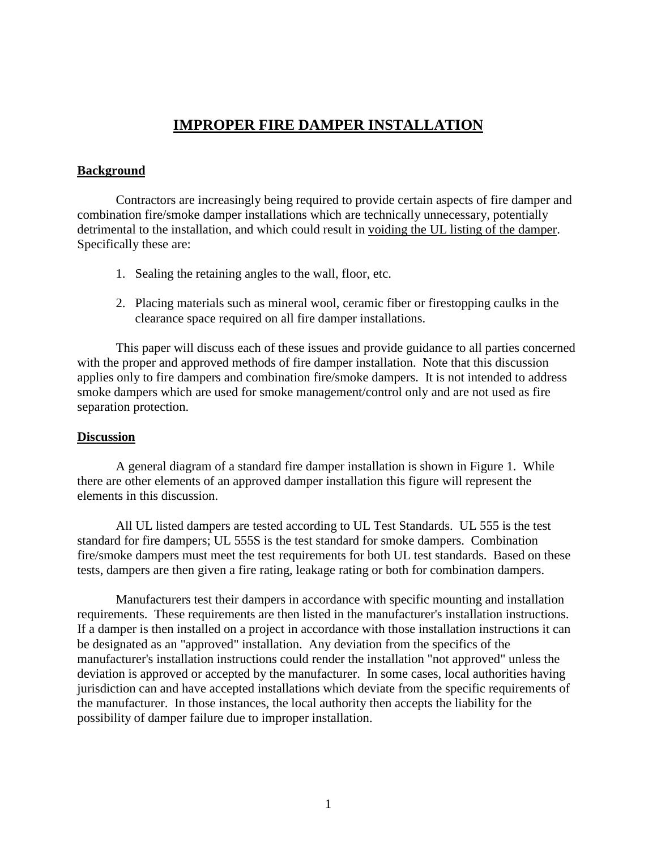# **IMPROPER FIRE DAMPER INSTALLATION**

# <span id="page-0-0"></span>**Background**

Contractors are increasingly being required to provide certain aspects of fire damper and combination fire/smoke damper installations which are technically unnecessary, potentially detrimental to the installation, and which could result in voiding the UL listing of the damper. Specifically these are:

- 1. Sealing the retaining angles to the wall, floor, etc.
- 2. Placing materials such as mineral wool, ceramic fiber or firestopping caulks in the clearance space required on all fire damper installations.

 This paper will discuss each of these issues and provide guidance to all parties concerned with the proper and approved methods of fire damper installation. Note that this discussion applies only to fire dampers and combination fire/smoke dampers. It is not intended to address smoke dampers which are used for smoke management/control only and are not used as fire separation protection.

### **Discussion**

 there are other elements of an approved damper installation this figure will represent the A general diagram of a standard fire damper installation is shown in Figure 1. While elements in this discussion.

All UL listed dampers are tested according to UL Test Standards. UL 555 is the test standard for fire dampers; UL 555S is the test standard for smoke dampers. Combination fire/smoke dampers must meet the test requirements for both UL test standards. Based on these tests, dampers are then given a fire rating, leakage rating or both for combination dampers.

Manufacturers test their dampers in accordance with specific mounting and installation requirements. These requirements are then listed in the manufacturer's installation instructions. If a damper is then installed on a project in accordance with those installation instructions it can be designated as an "approved" installation. Any deviation from the specifics of the manufacturer's installation instructions could render the installation "not approved" unless the deviation is approved or accepted by the manufacturer. In some cases, local authorities having jurisdiction can and have accepted installations which deviate from the specific requirements of the manufacturer. In those instances, the local authority then accepts the liability for the possibility of damper failure due to improper installation.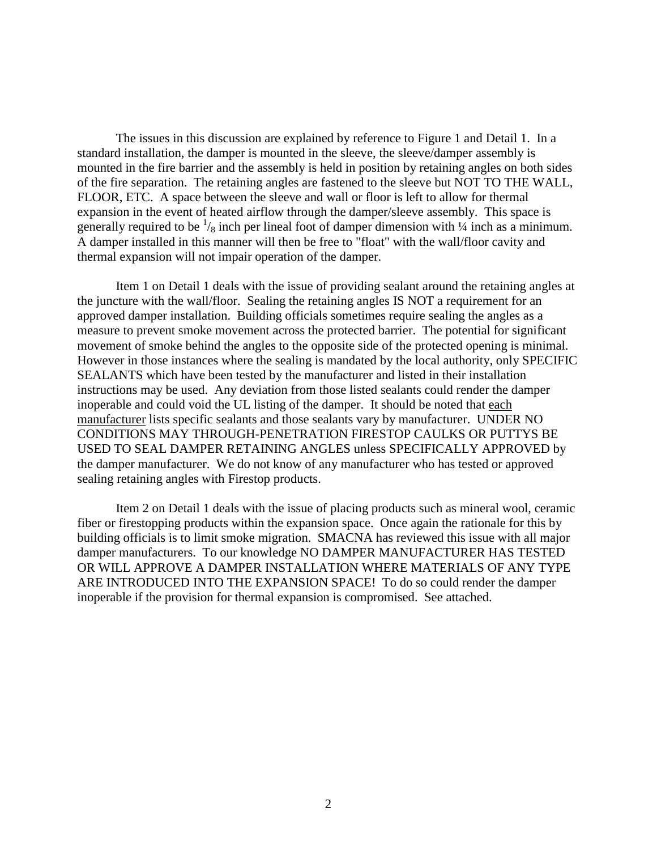The issues in this discussion are explained by reference to Figure 1 and Detail 1. In a standard installation, the damper is mounted in the sleeve, the sleeve/damper assembly is mounted in the fire barrier and the assembly is held in position by retaining angles on both sides of the fire separation. The retaining angles are fastened to the sleeve but NOT TO THE WALL, FLOOR, ETC. A space between the sleeve and wall or floor is left to allow for thermal expansion in the event of heated airflow through the damper/sleeve assembly. This space is generally required to be  $\frac{1}{8}$  inch per lineal foot of damper dimension with  $\frac{1}{4}$  inch as a minimum. A damper installed in this manner will then be free to "float" with the wall/floor cavity and thermal expansion will not impair operation of the damper.

Item 1 on Detail 1 deals with the issue of providing sealant around the retaining angles at the juncture with the wall/floor. Sealing the retaining angles IS NOT a requirement for an approved damper installation. Building officials sometimes require sealing the angles as a measure to prevent smoke movement across the protected barrier. The potential for significant movement of smoke behind the angles to the opposite side of the protected opening is minimal. However in those instances where the sealing is mandated by the local authority, only SPECIFIC SEALANTS which have been tested by the manufacturer and listed in their installation instructions may be used. Any deviation from those listed sealants could render the damper inoperable and could void the UL listing of the damper. It should be noted that each manufacturer lists specific sealants and those sealants vary by manufacturer. UNDER NO CONDITIONS MAY THROUGH-PENETRATION FIRESTOP CAULKS OR PUTTYS BE USED TO SEAL DAMPER RETAINING ANGLES unless SPECIFICALLY APPROVED by the damper manufacturer. We do not know of any manufacturer who has tested or approved sealing retaining angles with Firestop products.

Item 2 on Detail 1 deals with the issue of placing products such as mineral wool, ceramic fiber or firestopping products within the expansion space. Once again the rationale for this by building officials is to limit smoke migration. SMACNA has reviewed this issue with all major damper manufacturers. To our knowledge NO DAMPER MANUFACTURER HAS TESTED OR WILL APPROVE A DAMPER INSTALLATION WHERE MATERIALS OF ANY TYPE ARE INTRODUCED INTO THE EXPANSION SPACE! To do so could render the damper inoperable if the provision for thermal expansion is compromised. See attached.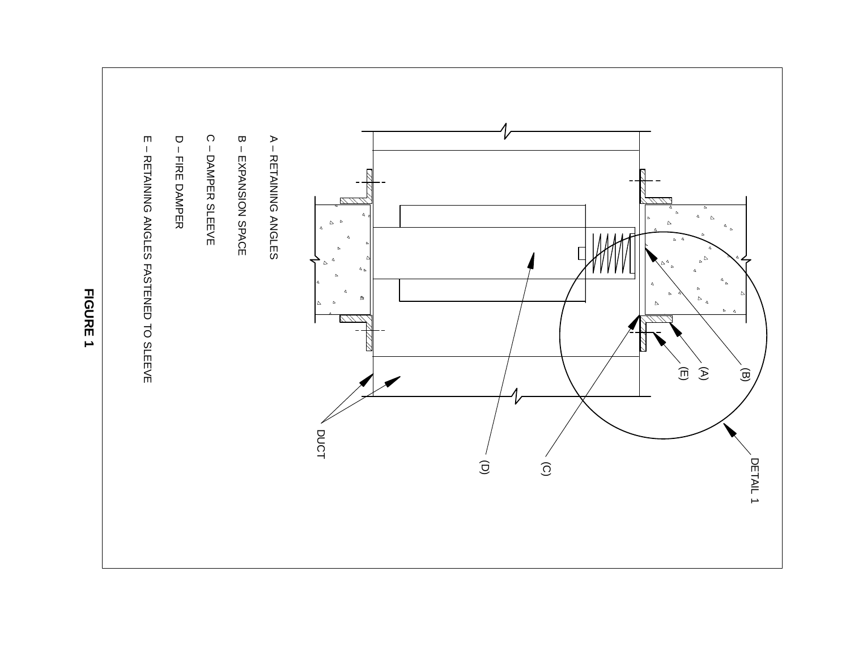

**FIGURE 1**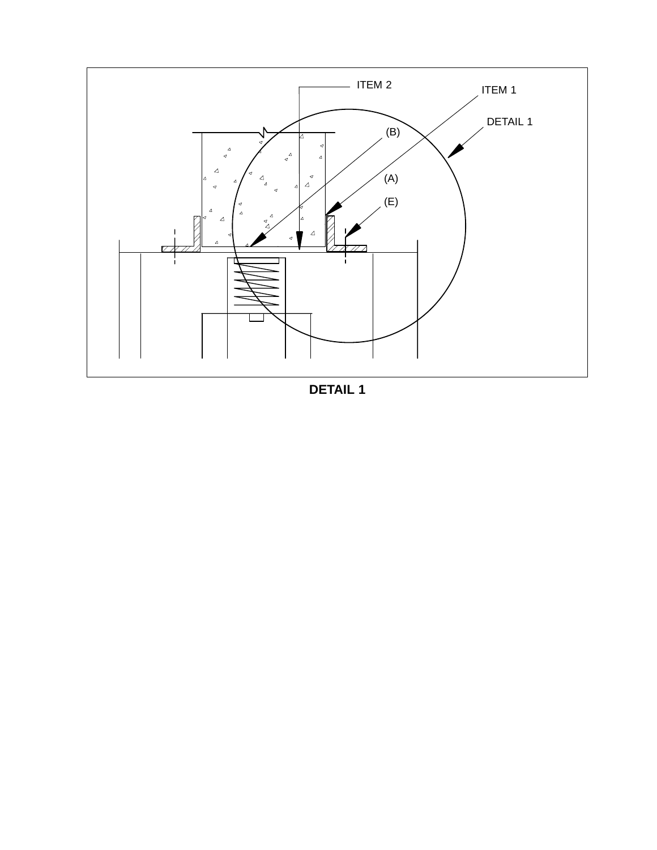

**[DETAIL 1](#page-0-0)**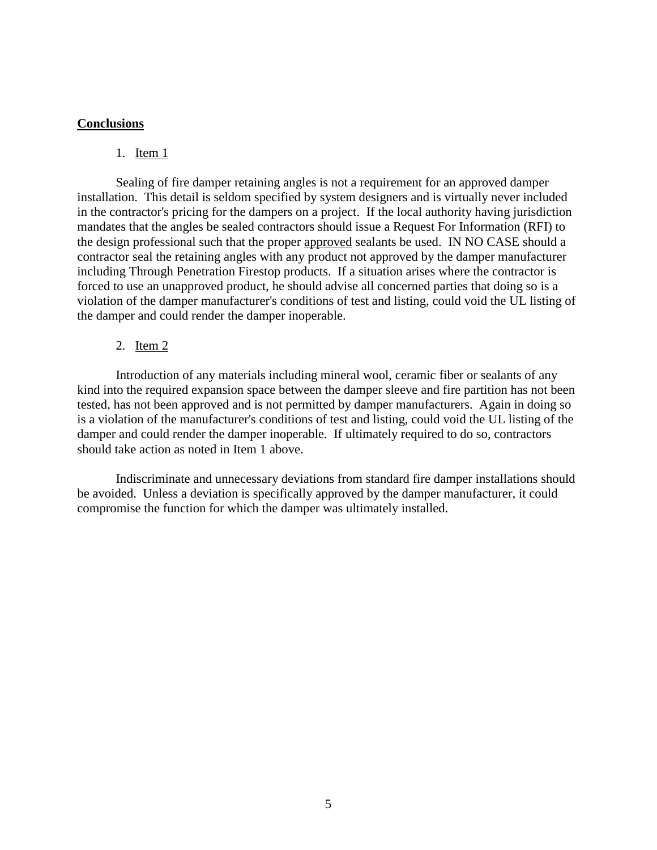## **Conclusions**

### 1. Item 1

Sealing of fire damper retaining angles is not a requirement for an approved damper installation. This detail is seldom specified by system designers and is virtually never included in the contractor's pricing for the dampers on a project. If the local authority having jurisdiction mandates that the angles be sealed contractors should issue a Request For Information (RFI) to the design professional such that the proper approved sealants be used. IN NO CASE should a contractor seal the retaining angles with any product not approved by the damper manufacturer including Through Penetration Firestop products. If a situation arises where the contractor is forced to use an unapproved product, he should advise all concerned parties that doing so is a violation of the damper manufacturer's conditions of test and listing, could void the UL listing of the damper and could render the damper inoperable.

## 2. Item 2

Introduction of any materials including mineral wool, ceramic fiber or sealants of any kind into the required expansion space between the damper sleeve and fire partition has not been tested, has not been approved and is not permitted by damper manufacturers. Again in doing so is a violation of the manufacturer's conditions of test and listing, could void the UL listing of the damper and could render the damper inoperable. If ultimately required to do so, contractors should take action as noted in Item 1 above.

Indiscriminate and unnecessary deviations from standard fire damper installations should be avoided. Unless a deviation is specifically approved by the damper manufacturer, it could compromise the function for which the damper was ultimately installed.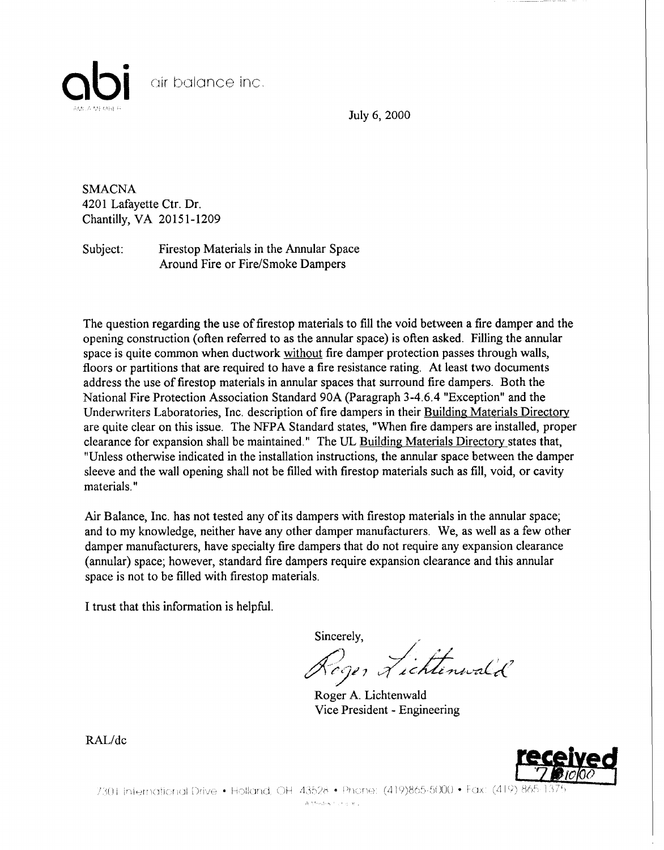

July 6, 2000

**SMACNA** 4201 Lafayette Ctr. Dr. Chantilly, VA 20151-1209

Subject: Firestop Materials in the Annular Space Around Fire or Fire/Smoke Dampers

The question regarding the use of firestop materials to fill the void between a fire damper and the opening construction ( often referred to as the annular space) is often asked. Filling the annular space is quite common when ductwork without fire damper protection passes through walls, floors or partitions that are required to have a fire resistance rating. At least two documents address the use offirestop materials in annular spaces that surround fire dampers. Both the National Fire Protection Association Standard 90A (Paragraph 3-4.6.4 "Exception" and the Underwriters Laboratories, Inc. description of fire dampers in their Building Materials Directory are quite clear on this issue. The NFPA Standard states, "When fire dampers are installed, proper clearance for expansion shall be maintained." The UL Building Materials Directory states that, "Unless otherwise indicated in the installation instructions, the annular space between the damper sleeve and the wall opening shall not be filled with firestop materials such as fill, void, or cavity materials."

Air Balance, Inc. has not tested any of its dampers with firestop materials in the annular space; and to my knowledge, neither have any other damper manufacturers. We, as well as a few other damper manufacturers, have specialty fire dampers that do not require any expansion clearance (annular) space; however, standard fire dampers require expansion clearance and this annular space is not to be filled with firestop materials.

I trust that this information is helpful.

Sincerely,

Roger Lichtenwald

Roger A. Lichtenwald Vice President - Engineering



7301 International Drive • Holland, OH 43528 • Phone: (419)865-5000 • Fax: (419) 865-13

A Modok Concert.

RAL/dc